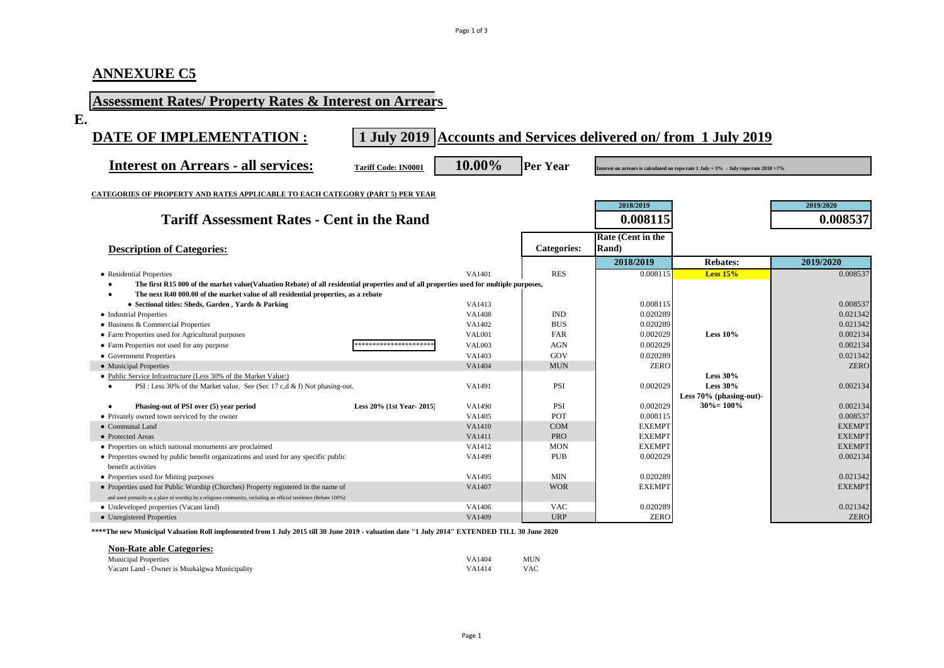# **ANNEXURE C5**

| <b>Assessment Rates/ Property Rates &amp; Interest on Arrears</b>                                                                       |                            |               |                 |                            |                                                                                               |               |
|-----------------------------------------------------------------------------------------------------------------------------------------|----------------------------|---------------|-----------------|----------------------------|-----------------------------------------------------------------------------------------------|---------------|
| E.                                                                                                                                      |                            |               |                 |                            |                                                                                               |               |
| DATE OF IMPLEMENTATION :                                                                                                                |                            |               |                 |                            | 1 July 2019 Accounts and Services delivered on/from 1 July 2019                               |               |
| <b>Interest on Arrears - all services:</b>                                                                                              | <b>Tariff Code: IN0001</b> | 10.00%        | <b>Per Year</b> |                            | Interest on arrears is calculated on repo rate $1$ July + $3\%$ - July repo rate $2018 = 7\%$ |               |
| <b>CATEGORIES OF PROPERTY AND RATES APPLICABLE TO EACH CATEGORY (PART 5) PER YEAR</b>                                                   |                            |               |                 |                            |                                                                                               |               |
|                                                                                                                                         |                            |               |                 | 2018/2019                  |                                                                                               | 2019/2020     |
| <b>Tariff Assessment Rates - Cent in the Rand</b>                                                                                       |                            |               |                 | 0.008115                   |                                                                                               | 0.008537      |
| <b>Description of Categories:</b>                                                                                                       |                            |               | Categories:     | Rate (Cent in the<br>Rand) |                                                                                               |               |
|                                                                                                                                         |                            |               |                 | 2018/2019                  | <b>Rebates:</b>                                                                               | 2019/2020     |
| • Residential Properties                                                                                                                |                            | VA1401        | <b>RES</b>      | 0.008115                   | Less $15%$                                                                                    | 0.008537      |
| The first R15 000 of the market value(Valuation Rebate) of all residential properties and of all properties used for multiple purposes, |                            |               |                 |                            |                                                                                               |               |
| The next R40 000.00 of the market value of all residential properties, as a rebate<br>$\bullet$                                         |                            |               |                 |                            |                                                                                               |               |
| • Sectional titles: Sheds, Garden, Yards & Parking                                                                                      |                            | VA1413        |                 | 0.008115                   |                                                                                               | 0.008537      |
| • Industrial Properties                                                                                                                 |                            | VA1408        | <b>IND</b>      | 0.020289                   |                                                                                               | 0.021342      |
| • Business & Commercial Properties                                                                                                      |                            | VA1402        | <b>BUS</b>      | 0.020289                   |                                                                                               | 0.021342      |
| • Farm Properties used for Agricultural purposes                                                                                        |                            | <b>VAL001</b> | FAR             | 0.002029                   | Less $10\%$                                                                                   | 0.002134      |
| • Farm Properties not used for any purpose                                                                                              | *********************      | <b>VAL003</b> | <b>AGN</b>      | 0.002029                   |                                                                                               | 0.002134      |
| • Government Properties                                                                                                                 |                            | VA1403        | GOV             | 0.020289                   |                                                                                               | 0.021342      |
| • Municipal Properties                                                                                                                  |                            | VA1404        | <b>MUN</b>      | <b>ZERO</b>                |                                                                                               | <b>ZERO</b>   |
| • Public Service Infrastructure (Less 30% of the Market Value:)                                                                         |                            |               |                 |                            | Less $30\%$                                                                                   |               |
| PSI: Less 30% of the Market value. See (Sec 17 c,d & f) Not phasing-out.<br>$\bullet$                                                   |                            | VA1491        | <b>PSI</b>      | 0.002029                   | Less $30\%$                                                                                   | 0.002134      |
|                                                                                                                                         |                            |               |                 |                            | Less 70% (phasing-out)-                                                                       |               |
| Phasing-out of PSI over (5) year period<br>$\bullet$                                                                                    | Less 20% (1st Year-2015)   | VA1490        | PSI             | 0.002029                   | $30\% = 100\%$                                                                                | 0.002134      |
| • Privately owned town serviced by the owner                                                                                            |                            | VA1405        | <b>POT</b>      | 0.008115                   |                                                                                               | 0.008537      |
| • Communal Land                                                                                                                         |                            | VA1410        | <b>COM</b>      | <b>EXEMPT</b>              |                                                                                               | <b>EXEMPT</b> |
| • Protected Areas                                                                                                                       |                            | VA1411        | <b>PRO</b>      | <b>EXEMPT</b>              |                                                                                               | <b>EXEMPT</b> |
| • Properties on which national monuments are proclaimed                                                                                 |                            | VA1412        | <b>MON</b>      | <b>EXEMPT</b>              |                                                                                               | <b>EXEMPT</b> |
| • Properties owned by public benefit organizations and used for any specific public<br>benefit activities                               |                            | VA1499        | <b>PUB</b>      | 0.002029                   |                                                                                               | 0.002134      |
| • Properties used for Mining purposes                                                                                                   |                            | VA1495        | <b>MIN</b>      | 0.020289                   |                                                                                               | 0.021342      |
| • Properties used for Public Worship (Churches) Property registered in the name of                                                      |                            | VA1407        | <b>WOR</b>      | <b>EXEMPT</b>              |                                                                                               | <b>EXEMPT</b> |
| and used primarily as a place of worship by a religious community, including an official residence (Rebate 100%)                        |                            |               |                 |                            |                                                                                               |               |
| • Undeveloped properties (Vacant land)                                                                                                  |                            | VA1406        | <b>VAC</b>      | 0.020289                   |                                                                                               | 0.021342      |
| • Unregistered Properties                                                                                                               |                            | VA1409        | <b>URP</b>      | <b>ZERO</b>                |                                                                                               | <b>ZERO</b>   |

**\*\*\*\*The new Municipal Valuation Roll implemented from 1 July 2015 till 30 June 2019 - valuation date "1 July 2014" EXTENDED TILL 30 June 2020**

#### **Non-Rate able Categories:**

| <b>Municipal Properties</b>                   | VA1404 | MUN        |
|-----------------------------------------------|--------|------------|
| Vacant Land - Owner is Msukalgwa Municipality | VA1414 | <b>VAC</b> |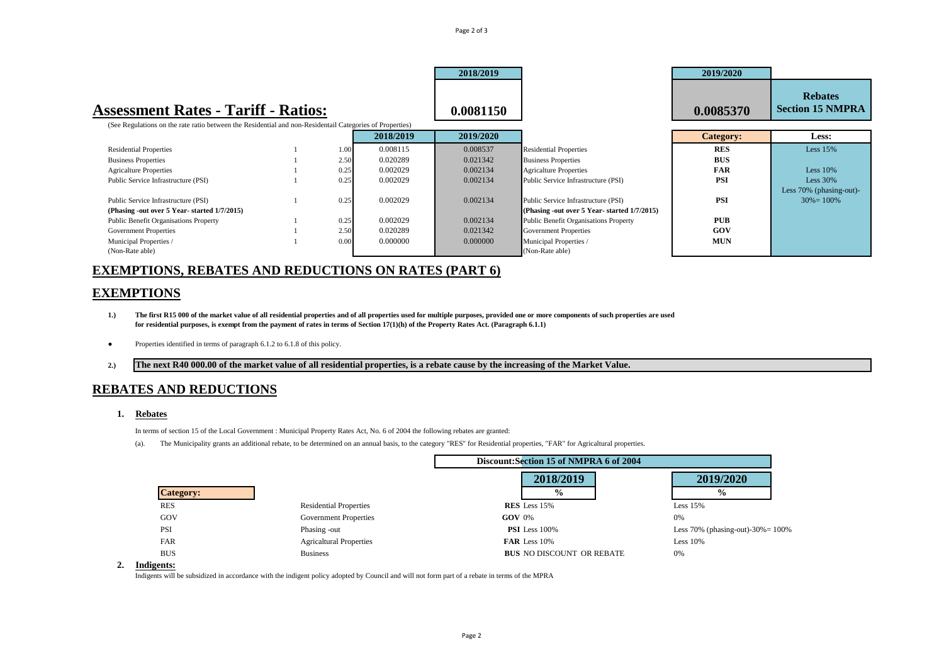|                                                                                                          |      |           | 2018/2019 |                                              | 2019/2020        |                                           |
|----------------------------------------------------------------------------------------------------------|------|-----------|-----------|----------------------------------------------|------------------|-------------------------------------------|
| <b>Assessment Rates - Tariff - Ratios:</b>                                                               |      |           | 0.0081150 |                                              | 0.0085370        | <b>Rebates</b><br><b>Section 15 NMPRA</b> |
| (See Regulations on the rate ratio between the Residential and non-Residentail Categories of Properties) |      |           |           |                                              |                  |                                           |
|                                                                                                          |      | 2018/2019 | 2019/2020 |                                              | <b>Category:</b> | Less:                                     |
| <b>Residential Properties</b>                                                                            | 1.00 | 0.008115  | 0.008537  | <b>Residential Properties</b>                | RES              | Less $15%$                                |
| <b>Business Properties</b>                                                                               | 2.50 | 0.020289  | 0.021342  | <b>Business Properties</b>                   | <b>BUS</b>       |                                           |
| <b>Agricalture Properties</b>                                                                            | 0.25 | 0.002029  | 0.002134  | <b>Agricalture Properties</b>                | <b>FAR</b>       | Less $10%$                                |
| Public Service Infrastructure (PSI)                                                                      | 0.25 | 0.002029  | 0.002134  | Public Service Infrastructure (PSI)          | <b>PSI</b>       | Less $30\%$                               |
|                                                                                                          |      |           |           |                                              |                  | Less 70% (phasing-out)-                   |
| Public Service Infrastructure (PSI)                                                                      | 0.25 | 0.002029  | 0.002134  | Public Service Infrastructure (PSI)          | <b>PSI</b>       | $30\% = 100\%$                            |
| (Phasing -out over 5 Year-started 1/7/2015)                                                              |      |           |           | (Phasing -out over 5 Year-started 1/7/2015)  |                  |                                           |
| <b>Public Benefit Organisations Property</b>                                                             | 0.25 | 0.002029  | 0.002134  | <b>Public Benefit Organisations Property</b> | PUB              |                                           |
| <b>Government Properties</b>                                                                             | 2.50 | 0.020289  | 0.021342  | <b>Government Properties</b>                 | GOV              |                                           |
| Municipal Properties /                                                                                   | 0.00 | 0.000000  | 0.000000  | Municipal Properties /                       | <b>MUN</b>       |                                           |
| (Non-Rate able)                                                                                          |      |           |           | (Non-Rate able)                              |                  |                                           |

Page 2 of 3

### **EXEMPTIONS, REBATES AND REDUCTIONS ON RATES (PART 6)**

### **EXEMPTIONS**

- 1.) The first R15 000 of the market value of all residential properties and of all properties used for multiple purposes, provided one or more components of such properties are used **for residential purposes, is exempt from the payment of rates in terms of Section 17(1)(h) of the Property Rates Act. (Paragraph 6.1.1)**
- **●** Properties identified in terms of paragraph 6.1.2 to 6.1.8 of this policy.
- **2.) The next R40 000.00 of the market value of all residential properties, is a rebate cause by the increasing of the Market Value.**

### **REBATES AND REDUCTIONS**

**1. Rebates**

In terms of section 15 of the Local Government : Municipal Property Rates Act, No. 6 of 2004 the following rebates are granted:

(a). The Municipality grants an additional rebate, to be determined on an annual basis, to the category "RES" for Residential properties, "FAR" for Agricaltural properties.

|                  |                                | Discount: Section 15 of NMPRA 6 of 2004 |                                      |  |
|------------------|--------------------------------|-----------------------------------------|--------------------------------------|--|
|                  |                                | 2018/2019                               | 2019/2020                            |  |
| <b>Category:</b> |                                | $\frac{6}{9}$                           | $\frac{0}{0}$                        |  |
| <b>RES</b>       | <b>Residential Properties</b>  | RES Less 15%                            | Less $15%$                           |  |
| GOV              | <b>Government Properties</b>   | $GOV$ 0%                                | 0%                                   |  |
| <b>PSI</b>       | Phasing -out                   | <b>PSI</b> Less 100%                    | Less 70% (phasing-out)-30% = $100\%$ |  |
| FAR              | <b>Agricaltural Properties</b> | FAR Less 10%                            | Less $10%$                           |  |
| <b>BUS</b>       | <b>Business</b>                | <b>BUS NO DISCOUNT OR REBATE</b>        | 0%                                   |  |
| $  -$            |                                |                                         |                                      |  |

#### **2. Indigents:**

Indigents will be subsidized in accordance with the indigent policy adopted by Council and will not form part of a rebate in terms of the MPRA